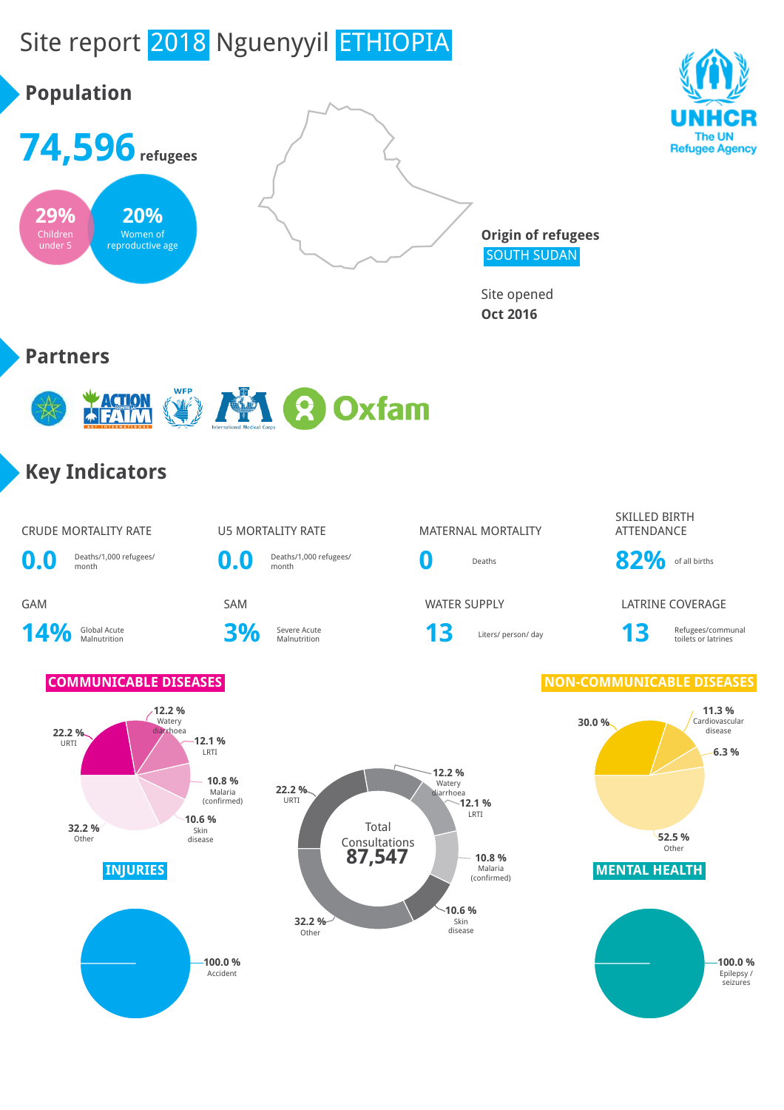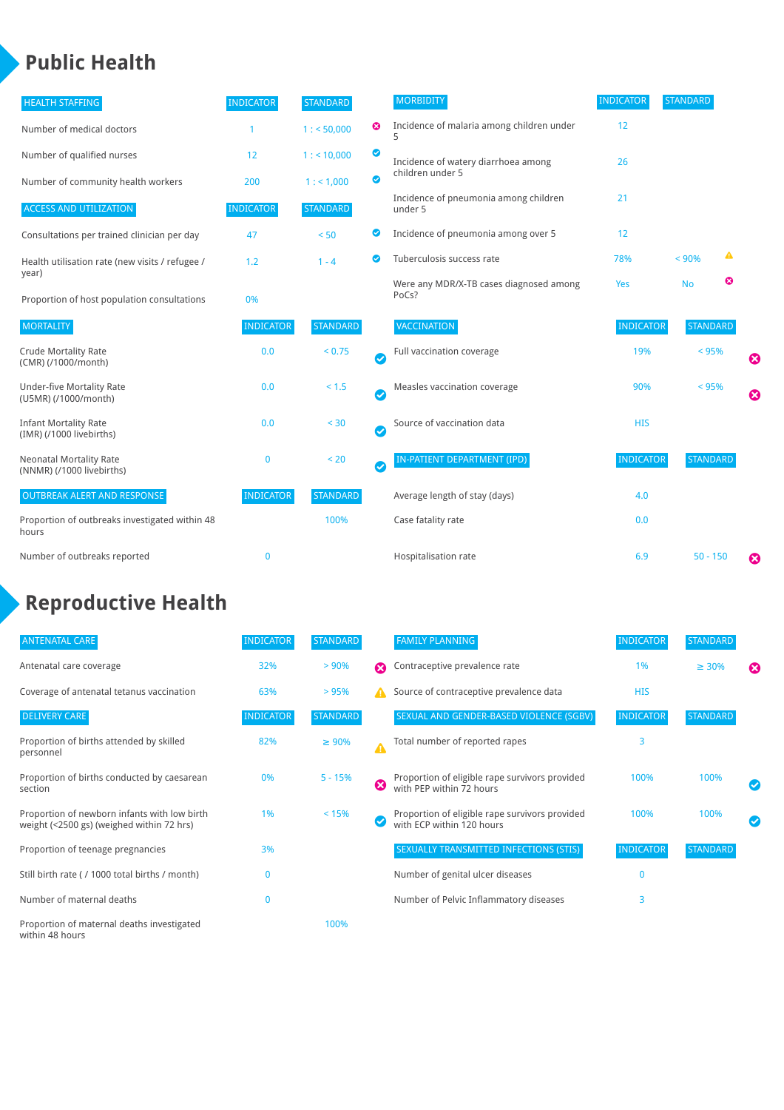### **Public Health**

| <b>HEALTH STAFFING</b>                                      | <b>INDICATOR</b> | <b>STANDARD</b> |           | <b>MORBIDITY</b>                                 | <b>INDICATOR</b> | <b>STANDARD</b> |   |   |
|-------------------------------------------------------------|------------------|-----------------|-----------|--------------------------------------------------|------------------|-----------------|---|---|
| Number of medical doctors                                   |                  | 1: 50,000       | ☺         | Incidence of malaria among children under        | 12               |                 |   |   |
| Number of qualified nurses                                  | 12               | 1:10,000        | ◙         | Incidence of watery diarrhoea among              | 26               |                 |   |   |
| Number of community health workers                          | 200              | 1: 1,000        | ◙         | children under 5                                 |                  |                 |   |   |
| <b>ACCESS AND UTILIZATION</b>                               | <b>INDICATOR</b> | <b>STANDARD</b> |           | Incidence of pneumonia among children<br>under 5 | 21               |                 |   |   |
| Consultations per trained clinician per day                 | 47               | < 50            | ◙         | Incidence of pneumonia among over 5              | 12               |                 |   |   |
| Health utilisation rate (new visits / refugee /             | 1.2              | $1 - 4$         | ల         | Tuberculosis success rate                        | 78%              | < 90%           | ▲ |   |
| year)<br>Proportion of host population consultations        | 0%               |                 |           | Were any MDR/X-TB cases diagnosed among<br>PoCs? | Yes              | <b>No</b>       | ☺ |   |
| <b>MORTALITY</b>                                            | <b>INDICATOR</b> | <b>STANDARD</b> |           | VACCINATION                                      | <b>INDICATOR</b> | <b>STANDARD</b> |   |   |
| <b>Crude Mortality Rate</b><br>(CMR) (/1000/month)          | 0.0              | < 0.75          | $\bullet$ | Full vaccination coverage                        | 19%              | $< 95\%$        |   | Ø |
| <b>Under-five Mortality Rate</b><br>(U5MR) (/1000/month)    | 0.0              | < 1.5           | Ø         | Measles vaccination coverage                     | 90%              | < 95%           |   | 0 |
| <b>Infant Mortality Rate</b><br>(IMR) (/1000 livebirths)    | 0.0              | < 30            | $\bullet$ | Source of vaccination data                       | <b>HIS</b>       |                 |   |   |
| <b>Neonatal Mortality Rate</b><br>(NNMR) (/1000 livebirths) | $\mathbf 0$      | < 20            | $\bullet$ | <b>IN-PATIENT DEPARTMENT (IPD)</b>               | <b>INDICATOR</b> | <b>STANDARD</b> |   |   |
| <b>OUTBREAK ALERT AND RESPONSE</b>                          | <b>INDICATOR</b> | <b>STANDARD</b> |           | Average length of stay (days)                    | 4.0              |                 |   |   |
| Proportion of outbreaks investigated within 48<br>hours     |                  | 100%            |           | Case fatality rate                               | 0.0              |                 |   |   |
| Number of outbreaks reported                                | $\mathbf 0$      |                 |           | Hospitalisation rate                             | 6.9              | $50 - 150$      |   | Ø |

# **Reproductive Health**

| <b>ANTENATAL CARE</b>                                                                     | <b>INDICATOR</b> | <b>STANDARD</b> |   | <b>FAMILY PLANNING</b>                                                      | <b>INDICATOR</b> | <b>STANDARD</b> |                       |
|-------------------------------------------------------------------------------------------|------------------|-----------------|---|-----------------------------------------------------------------------------|------------------|-----------------|-----------------------|
| Antenatal care coverage                                                                   | 32%              | > 90%           | Ω | Contraceptive prevalence rate                                               | 1%               | $\geq 30\%$     | $\boldsymbol{\Omega}$ |
| Coverage of antenatal tetanus vaccination                                                 | 63%              | >95%            | А | Source of contraceptive prevalence data                                     | <b>HIS</b>       |                 |                       |
| <b>DELIVERY CARE</b>                                                                      | <b>INDICATOR</b> | <b>STANDARD</b> |   | SEXUAL AND GENDER-BASED VIOLENCE (SGBV)                                     | <b>INDICATOR</b> | <b>STANDARD</b> |                       |
| Proportion of births attended by skilled<br>personnel                                     | 82%              | $\geq 90\%$     |   | Total number of reported rapes                                              | 3                |                 |                       |
| Proportion of births conducted by caesarean<br>section                                    | 0%               | $5 - 15%$       | Ø | Proportion of eligible rape survivors provided<br>with PEP within 72 hours  | 100%             | 100%            |                       |
| Proportion of newborn infants with low birth<br>weight (<2500 gs) (weighed within 72 hrs) | 1%               | < 15%           |   | Proportion of eligible rape survivors provided<br>with ECP within 120 hours | 100%             | 100%            |                       |
| Proportion of teenage pregnancies                                                         | 3%               |                 |   | SEXUALLY TRANSMITTED INFECTIONS (STIS)                                      | <b>INDICATOR</b> | <b>STANDARD</b> |                       |
| Still birth rate (/ 1000 total births / month)                                            | 0                |                 |   | Number of genital ulcer diseases                                            | $\Omega$         |                 |                       |
| Number of maternal deaths                                                                 | $\mathbf{0}$     |                 |   | Number of Pelvic Inflammatory diseases                                      | 3                |                 |                       |
| Proportion of maternal deaths investigated<br>within 48 hours                             |                  | 100%            |   |                                                                             |                  |                 |                       |